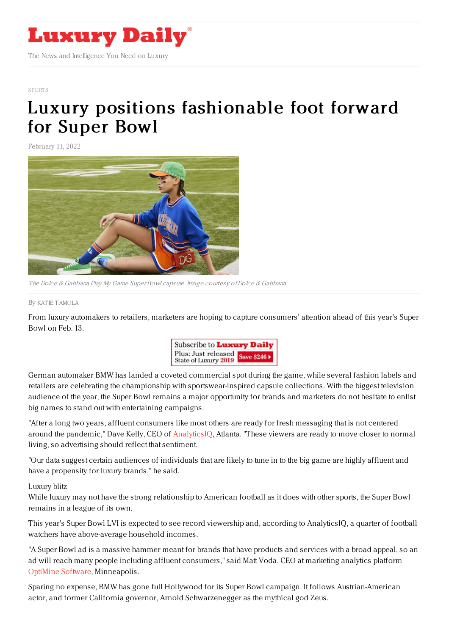

## [SPORTS](https://www.luxurydaily.com/category/sectors/sports/)

## Luxury positions [fashionable](https://www.luxurydaily.com/luxury-positions-fashionable-foot-forward-for-super-bowl/) foot forward for Super Bowl

February 11, 2022



The Dolce & Gabbana Play My Game Super Bowl capsule. Image courtesy ofDolce & Gabbana

By KAT IE [TAMOLA](file:///author/katie-tamola)

From luxury automakers to retailers, marketers are hoping to capture consumers' attention ahead of this year's Super Bowl on Feb. 13.



German automaker BMW has landed a coveted commercial spot during the game, while several fashion labels and retailers are celebrating the championship with sportswear-inspired capsule collections. With the biggest television audience of the year, the Super Bowl remains a major opportunity for brands and marketers do not hesitate to enlist big names to stand out with entertaining campaigns.

"After a long two years, affluent consumers like most others are ready for fresh messaging that is not centered around the pandemic," Dave Kelly, CEO of [AnalyticsIQ](https://analytics-iq.com/), Atlanta. "These viewers are ready to move closer to normal living, so advertising should reflect that sentiment.

"Our data suggest certain audiences of individuals that are likely to tune in to the big game are highly affluent and have a propensity for luxury brands," he said.

Luxury blitz

While luxury may not have the strong relationship to American football as it does with other sports, the Super Bowl remains in a league of its own.

This year's Super Bowl LVI is expected to see record viewership and, according to AnalyticsIQ, a quarter of football watchers have above-average household incomes.

"A Super Bowl ad is a massive hammer meant for brands that have products and services with a broad appeal, so an ad will reach many people including affluent consumers," said Matt Voda, CEO at marketing analytics platform [OptiMine](https://optimine.com/company/) Software, Minneapolis.

Sparing no expense, BMW has gone full Hollywood for its Super Bowl campaign. It follows Austrian-American actor, and former California governor, Arnold Schwarzenegger as the mythical god Zeus.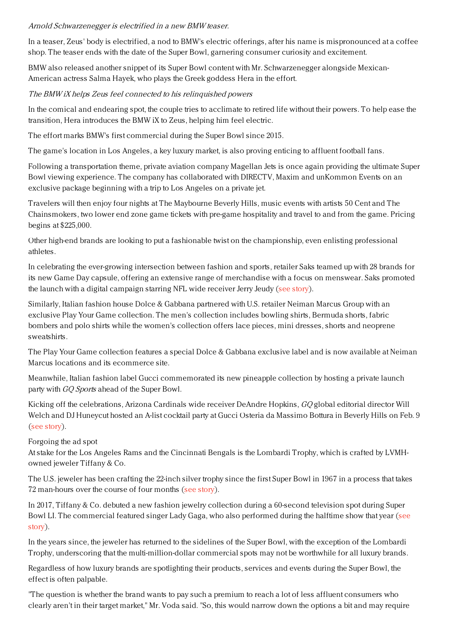## Arnold Schwarzenegger is electrified in <sup>a</sup> new BMW teaser.

In a teaser, Zeus' body is electrified, a nod to BMW's electric offerings, after his name is mispronounced at a coffee shop. The teaser ends with the date of the Super Bowl, garnering consumer curiosity and excitement.

BMW also released another snippet of its Super Bowl content with Mr. Schwarzenegger alongside Mexican-American actress Salma Hayek, who plays the Greek goddess Hera in the effort.

## The BMW iX helps Zeus feel connected to his relinquished powers

In the comical and endearing spot, the couple tries to acclimate to retired life without their powers. To help ease the transition, Hera introduces the BMW iX to Zeus, helping him feel electric.

The effort marks BMW's first commercial during the Super Bowl since 2015.

The game's location in Los Angeles, a key luxury market, is also proving enticing to affluent football fans.

Following a transportation theme, private aviation company Magellan Jets is once again providing the ultimate Super Bowl viewing experience. The company has collaborated with DIRECTV, Maxim and unKommon Events on an exclusive package beginning with a trip to Los Angeles on a private jet.

Travelers will then enjoy four nights at The Maybourne Beverly Hills, music events with artists 50 Cent and The Chainsmokers, two lower end zone game tickets with pre-game hospitality and travel to and from the game. Pricing begins at \$225,000.

Other high-end brands are looking to put a fashionable twist on the championship, even enlisting professional athletes.

In celebrating the ever-growing intersection between fashion and sports, retailer Saks teamed up with 28 brands for its new Game Day capsule, offering an extensive range of merchandise with a focus on menswear. Saks promoted the launch with a digital campaign starring NFL wide receiver Jerry Jeudy (see [story](https://www.luxurydaily.com/saks-game-day-nfl-capsule/)).

Similarly, Italian fashion house Dolce & Gabbana partnered with U.S. retailer Neiman Marcus Group with an exclusive Play Your Game collection. The men's collection includes bowling shirts, Bermuda shorts, fabric bombers and polo shirts while the women's collection offers lace pieces, mini dresses, shorts and neoprene sweatshirts.

The Play Your Game collection features a special Dolce & Gabbana exclusive label and is now available at Neiman Marcus locations and its ecommerce site.

Meanwhile, Italian fashion label Gucci commemorated its new pineapple collection by hosting a private launch party with GQ Sports ahead of the Super Bowl.

Kicking off the celebrations, Arizona Cardinals wide receiver DeAndre Hopkins, GQ global editorial director Will Welch and DJ Huneycut hosted an A-list cocktail party at Gucci Osteria da Massimo Bottura in Beverly Hills on Feb. 9 (see [story](https://www.luxurydaily.com/gucci-gq-sports-pineapple-collection/)).

Forgoing the ad spot

At stake for the Los Angeles Rams and the Cincinnati Bengals is the Lombardi Trophy, which is crafted by LVMHowned jeweler Tiffany & Co.

The U.S. jeweler has been crafting the 22-inch silver trophy since the first Super Bowl in 1967 in a process that takes 72 man-hours over the course of four months (see [story](https://www.luxurydaily.com/most-luxury-brands-shy-away-from-super-bowl/)).

In 2017, Tiffany & Co. debuted a new fashion jewelry collection during a 60-second television spot during Super Bowl LI. The [commercial](https://www.luxurydaily.com/tiffany-to-launch-new-collection-in-lady-gaga-fronted-super-bowl-commercial/) featured singer Lady Gaga, who also performed during the halftime show that year (see story).

In the years since, the jeweler has returned to the sidelines of the Super Bowl, with the exception of the Lombardi Trophy, underscoring that the multi-million-dollar commercial spots may not be worthwhile for all luxury brands.

Regardless of how luxury brands are spotlighting their products, services and events during the Super Bowl, the effect is often palpable.

"The question is whether the brand wants to pay such a premium to reach a lot of less affluent consumers who clearly aren't in their target market," Mr. Voda said. "So, this would narrow down the options a bit and may require